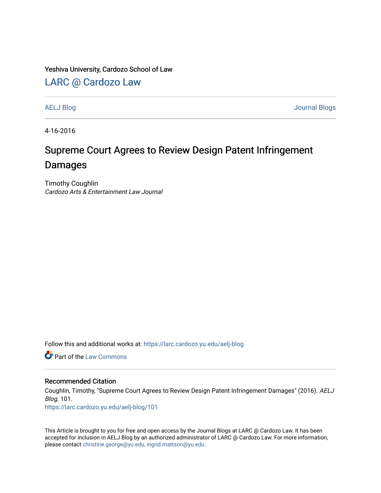Yeshiva University, Cardozo School of Law

[LARC @ Cardozo Law](https://larc.cardozo.yu.edu/)

[AELJ Blog](https://larc.cardozo.yu.edu/aelj-blog) [Journal Blogs](https://larc.cardozo.yu.edu/journal-blogs) 

4-16-2016

## Supreme Court Agrees to Review Design Patent Infringement Damages

Timothy Coughlin Cardozo Arts & Entertainment Law Journal

Follow this and additional works at: [https://larc.cardozo.yu.edu/aelj-blog](https://larc.cardozo.yu.edu/aelj-blog?utm_source=larc.cardozo.yu.edu%2Faelj-blog%2F101&utm_medium=PDF&utm_campaign=PDFCoverPages) 

**C** Part of the [Law Commons](http://network.bepress.com/hgg/discipline/578?utm_source=larc.cardozo.yu.edu%2Faelj-blog%2F101&utm_medium=PDF&utm_campaign=PDFCoverPages)

## Recommended Citation

Coughlin, Timothy, "Supreme Court Agrees to Review Design Patent Infringement Damages" (2016). AELJ Blog. 101.

[https://larc.cardozo.yu.edu/aelj-blog/101](https://larc.cardozo.yu.edu/aelj-blog/101?utm_source=larc.cardozo.yu.edu%2Faelj-blog%2F101&utm_medium=PDF&utm_campaign=PDFCoverPages) 

This Article is brought to you for free and open access by the Journal Blogs at LARC @ Cardozo Law. It has been accepted for inclusion in AELJ Blog by an authorized administrator of LARC @ Cardozo Law. For more information, please contact [christine.george@yu.edu, ingrid.mattson@yu.edu.](mailto:christine.george@yu.edu,%20ingrid.mattson@yu.edu)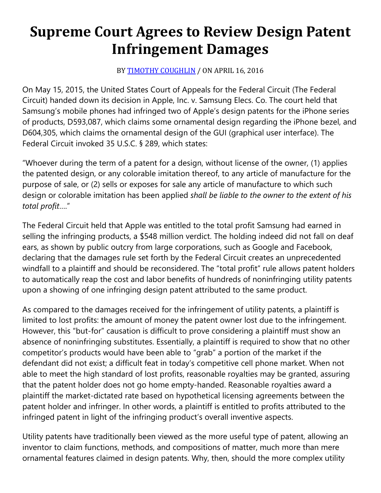## **Supreme Court Agrees to Review Design Patent Infringement Damages**

## BY [TIMOTHY COUGHLIN](https://cardozoaelj.com/author/timothy-coughlin/) / ON APRIL 16, 2016

On May 15, 2015, the United States Court of Appeals for the Federal Circuit (The Federal Circuit) handed down its decision in Apple, Inc. v. Samsung Elecs. Co. The court held that Samsung's mobile phones had infringed two of Apple's design patents for the iPhone series of products, D593,087, which claims some ornamental design regarding the iPhone bezel, and D604,305, which claims the ornamental design of the GUI (graphical user interface). The Federal Circuit invoked 35 U.S.C. § 289, which states:

"Whoever during the term of a patent for a design, without license of the owner, (1) applies the patented design, or any colorable imitation thereof, to any article of manufacture for the purpose of sale, or (2) sells or exposes for sale any article of manufacture to which such design or colorable imitation has been applied *shall be liable to the owner to the extent of his total profit*…."

The Federal Circuit held that Apple was entitled to the total profit Samsung had earned in selling the infringing products, a \$548 million verdict. The holding indeed did not fall on deaf ears, as shown by public outcry from large corporations, such as Google and Facebook, declaring that the damages rule set forth by the Federal Circuit creates an unprecedented windfall to a plaintiff and should be reconsidered. The "total profit" rule allows patent holders to automatically reap the cost and labor benefits of hundreds of noninfringing utility patents upon a showing of one infringing design patent attributed to the same product.

As compared to the damages received for the infringement of utility patents, a plaintiff is limited to lost profits: the amount of money the patent owner lost due to the infringement. However, this "but-for" causation is difficult to prove considering a plaintiff must show an absence of noninfringing substitutes. Essentially, a plaintiff is required to show that no other competitor's products would have been able to "grab" a portion of the market if the defendant did not exist; a difficult feat in today's competitive cell phone market. When not able to meet the high standard of lost profits, reasonable royalties may be granted, assuring that the patent holder does not go home empty-handed. Reasonable royalties award a plaintiff the market-dictated rate based on hypothetical licensing agreements between the patent holder and infringer. In other words, a plaintiff is entitled to profits attributed to the infringed patent in light of the infringing product's overall inventive aspects.

Utility patents have traditionally been viewed as the more useful type of patent, allowing an inventor to claim functions, methods, and compositions of matter, much more than mere ornamental features claimed in design patents. Why, then, should the more complex utility